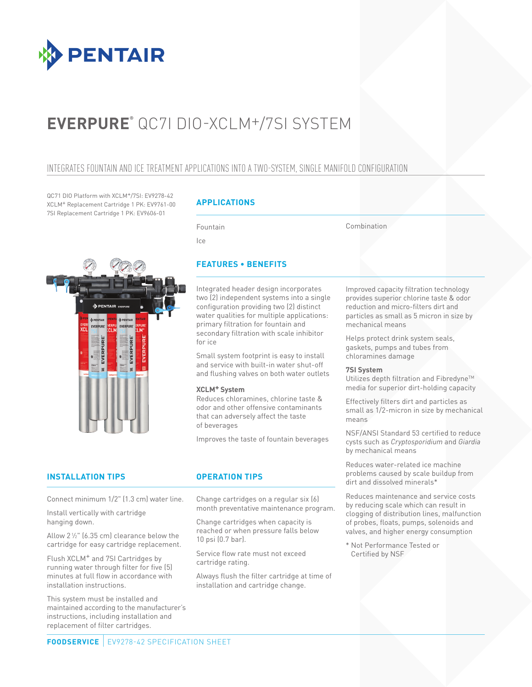

# **EVERPURE®** QC7I DIO-XCLM+/7SI SYSTEM

### INTEGRATES FOUNTAIN AND ICE TREATMENT APPLICATIONS INTO A TWO-SYSTEM, SINGLE MANIFOLD CONFIGURATION

QC71 DIO Platform with XCLM+/7SI: EV9278-42 XCLM+ Replacement Cartridge 1 PK: EV9761-00 7SI Replacement Cartridge 1 PK: EV9606-01

### **APPLICATIONS**

Fountain

Ice

Combination



### **FEATURES • BENEFITS**

Integrated header design incorporates two (2) independent systems into a single configuration providing two (2) distinct water qualities for multiple applications: primary filtration for fountain and secondary filtration with scale inhibitor for ice

Small system footprint is easy to install and service with built-in water shut-off and flushing valves on both water outlets

### **XCLM+ System**

Reduces chloramines, chlorine taste & odor and other offensive contaminants that can adversely affect the taste of beverages

Improves the taste of fountain beverages

### **INSTALLATION TIPS OPERATION TIPS**

Connect minimum 1/2" (1.3 cm) water line.

Install vertically with cartridge hanging down.

Allow 21 ⁄2" (6.35 cm) clearance below the cartridge for easy cartridge replacement.

Flush XCLM+ and 7SI Cartridges by running water through filter for five (5) minutes at full flow in accordance with installation instructions.

This system must be installed and maintained according to the manufacturer's instructions, including installation and replacement of filter cartridges.

Change cartridges on a regular six (6) month preventative maintenance program.

Change cartridges when capacity is reached or when pressure falls below 10 psi (0.7 bar).

Service flow rate must not exceed cartridge rating.

Always flush the filter cartridge at time of installation and cartridge change.

Improved capacity filtration technology provides superior chlorine taste & odor reduction and micro-filters dirt and particles as small as 5 micron in size by mechanical means

Helps protect drink system seals, gaskets, pumps and tubes from chloramines damage

### **7SI System**

Utilizes depth filtration and Fibredyne™ media for superior dirt-holding capacity

Effectively filters dirt and particles as small as 1/2-micron in size by mechanical means

NSF/ANSI Standard 53 certified to reduce cysts such as *Cryptosporidium* and *Giardia*  by mechanical means

Reduces water-related ice machine problems caused by scale buildup from dirt and dissolved minerals\*

Reduces maintenance and service costs by reducing scale which can result in clogging of distribution lines, malfunction of probes, floats, pumps, solenoids and valves, and higher energy consumption

\* Not Performance Tested or Certified by NSF